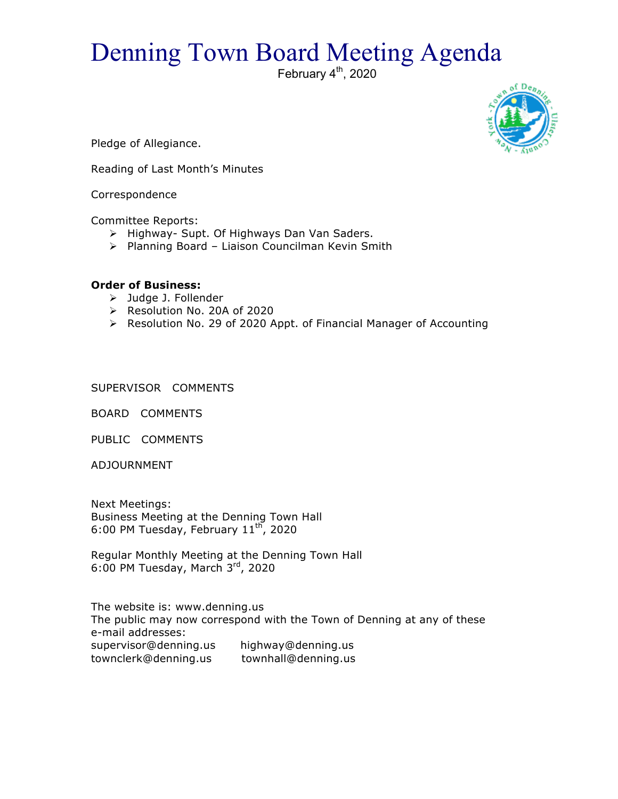## Denning Town Board Meeting Agenda

February  $4<sup>th</sup>$ , 2020



Pledge of Allegiance.

Reading of Last Month's Minutes

Correspondence

Committee Reports:

- > Highway- Supt. Of Highways Dan Van Saders.
- ▶ Planning Board Liaison Councilman Kevin Smith

## **Order of Business:**

- > Judge J. Follender
- > Resolution No. 20A of 2020
- ! Resolution No. 29 of 2020 Appt. of Financial Manager of Accounting

SUPERVISOR COMMENTS

BOARD COMMENTS

PUBLIC COMMENTS

ADJOURNMENT

Next Meetings: Business Meeting at the Denning Town Hall 6:00 PM Tuesday, February  $11^{\text{th}}$ , 2020

Regular Monthly Meeting at the Denning Town Hall 6:00 PM Tuesday, March  $3<sup>rd</sup>$ , 2020

The website is: www.denning.us The public may now correspond with the Town of Denning at any of these e-mail addresses: supervisor@denning.us highway@denning.us townclerk@denning.us townhall@denning.us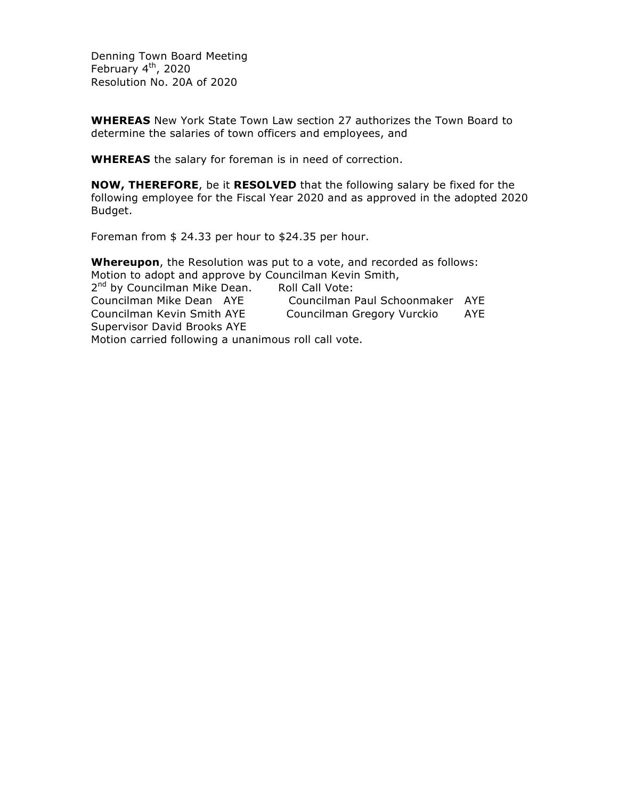Denning Town Board Meeting February  $4<sup>th</sup>$ , 2020 Resolution No. 20A of 2020

**WHEREAS** New York State Town Law section 27 authorizes the Town Board to determine the salaries of town officers and employees, and

**WHEREAS** the salary for foreman is in need of correction.

**NOW, THEREFORE**, be it **RESOLVED** that the following salary be fixed for the following employee for the Fiscal Year 2020 and as approved in the adopted 2020 Budget.

Foreman from \$ 24.33 per hour to \$24.35 per hour.

**Whereupon**, the Resolution was put to a vote, and recorded as follows: Motion to adopt and approve by Councilman Kevin Smith, 2<sup>nd</sup> by Councilman Mike Dean. Roll Call Vote: Councilman Mike Dean AYE Councilman Paul Schoonmaker AYE Councilman Kevin Smith AYE Councilman Gregory Vurckio AYE Supervisor David Brooks AYE Motion carried following a unanimous roll call vote.